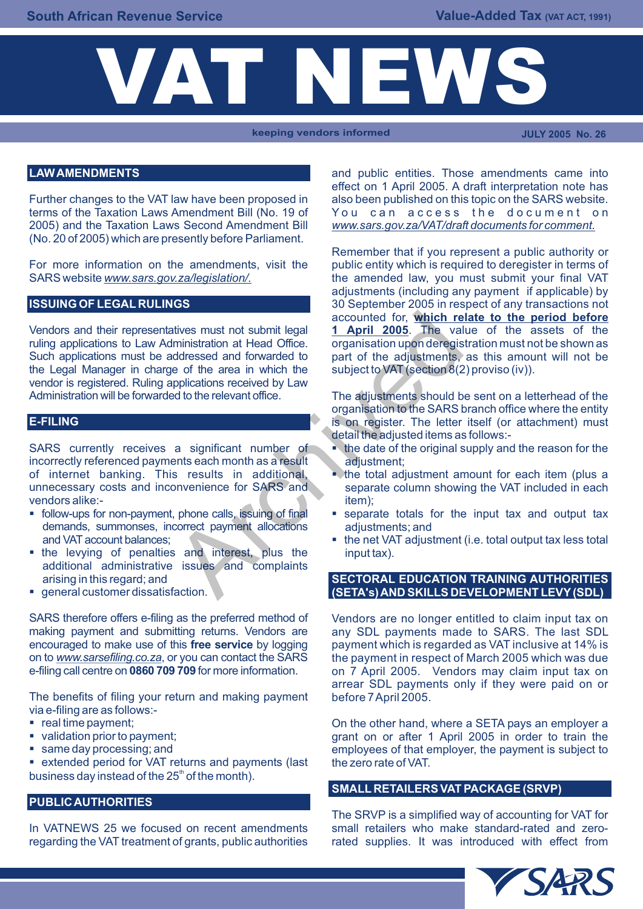

**keeping vendors informed JULY 2005 No. 26**

### **LAW AMENDMENTS**

Further changes to the VAT law have been proposed in also been published on this topic on the SARS website. terms of the Taxation Laws Amendment Bill (No. 19 of You can access the document on 2005) and the Taxation Laws Second Amendment Bill *www.sars.gov.za/VAT/draft documents for comment.* (No. 20 of 2005) which are presently before Parliament.

For more information on the amendments, visit the SARS website *www.sars.gov.za/legislation/.* the amended law, you must submit your final VAT

### **ISSUING OF LEGAL RULINGS**

ruling applications to Law Administration at Head Office. organisation upon deregistration must not be shown as Such applications must be addressed and forwarded to part of the adjustments, as this amount will not be the Legal Manager in charge of the area in which the subject to VAT (section 8(2) proviso (iv)). vendor is registered. Ruling applications received by Law<br>Administration will be forwarded to the relevant office. accounted for, which religions must not submit legal<br>direction at Head Office.<br>distance and forwarded to part of the adjustments,<br>explications received by Law<br>do the relevant office.<br>The adjustments should be organisation

#### **E-FILING**

incorrectly referenced payments each month as a result adjustment; of internet banking. This results in additional, state total adjustment amount for each item (plus a<br>unnecessary costs and inconvenience for SARS and separate column showing the VAT included in each vendors alike:- item); vendors alike:-

- follow-ups for non-payment, phone calls, issuing of final separate totals for the input tax and output tax demands, summonses, incorrect payment allocations adjustments; and and VAT account balances:
- the levying of penalties and interest, plus the input tax). additional administrative issues and complaints arising in this regard; and
- general customer dissatisfaction.

making payment and submitting returns. Vendors are any SDL payments made to SARS. The last SDL encouraged to make use of this free service by logging payment which is regarded as VAT inclusive at 14% is on to *www.sarsefiling.co.za*, or you can contact the SARS the payment in respect of March 2005 which was due e-filing call centre on **0860 709 709** for more information. on 7 April 2005. Vendors may claim input tax on

The benefits of filing your return and making payment before 7 April 2005. via e-filing are as follows:-

- 
- 
- 

• extended period for VAT returns and payments (last the zero rate of VAT. business day instead of the  $25<sup>th</sup>$  of the month).

# **PUBLIC AUTHORITIES**

regarding the VAT treatment of grants, public authorities rated supplies. It was introduced with effect from

and public entities. Those amendments came into effect on 1 April 2005. A draft interpretation note has

Remember that if you represent a public authority or public entity which is required to deregister in terms of adjustments (including any payment if applicable) by 30 September 2005 in respect of any transactions not accounted for, **which relate to the period before**  Vendors and their representatives must not submit legal **1 April 2005**. The value of the assets of the

> The adjustments should be sent on a letterhead of the organisation to the SARS branch office where the entity is on register. The letter itself (or attachment) must detail the adjusted items as follows:-

- SARS currently receives a significant number of  $\bullet$  the date of the original supply and the reason for the
	- separate column showing the VAT included in each
	-
	- $\blacksquare$  the net VAT adjustment (i.e. total output tax less total

### **SECTORAL EDUCATION TRAINING AUTHORITIES (SETA's) AND SKILLS DEVELOPMENT LEVY (SDL)**

SARS therefore offers e-filing as the preferred method of Vendors are no longer entitled to claim input tax on payment which is regarded as VAT inclusive at 14% is on 7 April 2005. Vendors may claim input tax on arrear SDL payments only if they were paid on or

■ real time payment;  $\Box$  On the other hand, where a SETA pays an employer a • validation prior to payment; example and the series of the series of a series of the series of the validation prior to train the ■ same day processing; and employees of that employer, the payment is subject to

### **SMALL RETAILERS VAT PACKAGE (SRVP)**

The SRVP is a simplified way of accounting for VAT for In VATNEWS 25 we focused on recent amendments small retailers who make standard-rated and zero-